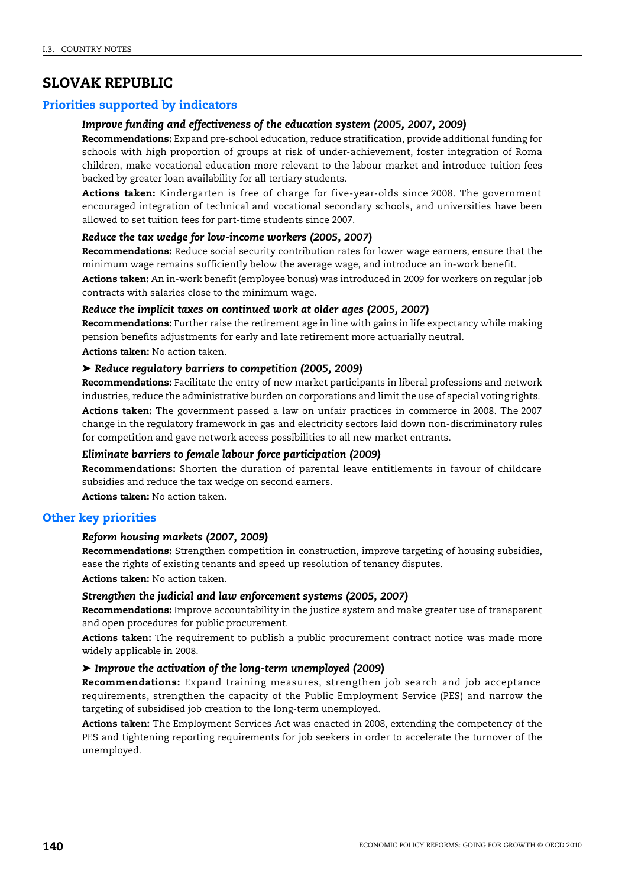# **SLOVAK REPUBLIC**

# **Priorities supported by indicators**

## *Improve funding and effectiveness of the education system (2005, 2007, 2009)*

**Recommendations:** Expand pre-school education, reduce stratification, provide additional funding for schools with high proportion of groups at risk of under-achievement, foster integration of Roma children, make vocational education more relevant to the labour market and introduce tuition fees backed by greater loan availability for all tertiary students.

**Actions taken:** Kindergarten is free of charge for five-year-olds since 2008. The government encouraged integration of technical and vocational secondary schools, and universities have been allowed to set tuition fees for part-time students since 2007.

### *Reduce the tax wedge for low-income workers (2005, 2007)*

**Recommendations:** Reduce social security contribution rates for lower wage earners, ensure that the minimum wage remains sufficiently below the average wage, and introduce an in-work benefit.

**Actions taken:** An in-work benefit (employee bonus) was introduced in 2009 for workers on regular job contracts with salaries close to the minimum wage.

#### *Reduce the implicit taxes on continued work at older ages (2005, 2007)*

**Recommendations:** Further raise the retirement age in line with gains in life expectancy while making pension benefits adjustments for early and late retirement more actuarially neutral. **Actions taken:** No action taken.

#### ➤ *Reduce regulatory barriers to competition (2005, 2009)*

**Recommendations:** Facilitate the entry of new market participants in liberal professions and network industries, reduce the administrative burden on corporations and limit the use of special voting rights.

**Actions taken:** The government passed a law on unfair practices in commerce in 2008. The 2007 change in the regulatory framework in gas and electricity sectors laid down non-discriminatory rules for competition and gave network access possibilities to all new market entrants.

# *Eliminate barriers to female labour force participation (2009)*

**Recommendations:** Shorten the duration of parental leave entitlements in favour of childcare subsidies and reduce the tax wedge on second earners.

**Actions taken:** No action taken.

# **Other key priorities**

## *Reform housing markets (2007, 2009)*

**Recommendations:** Strengthen competition in construction, improve targeting of housing subsidies, ease the rights of existing tenants and speed up resolution of tenancy disputes. **Actions taken:** No action taken.

# *Strengthen the judicial and law enforcement systems (2005, 2007)*

**Recommendations:** Improve accountability in the justice system and make greater use of transparent and open procedures for public procurement.

**Actions taken:** The requirement to publish a public procurement contract notice was made more widely applicable in 2008.

### ➤ *Improve the activation of the long-term unemployed (2009)*

**Recommendations:** Expand training measures, strengthen job search and job acceptance requirements, strengthen the capacity of the Public Employment Service (PES) and narrow the targeting of subsidised job creation to the long-term unemployed.

**Actions taken:** The Employment Services Act was enacted in 2008, extending the competency of the PES and tightening reporting requirements for job seekers in order to accelerate the turnover of the unemployed.